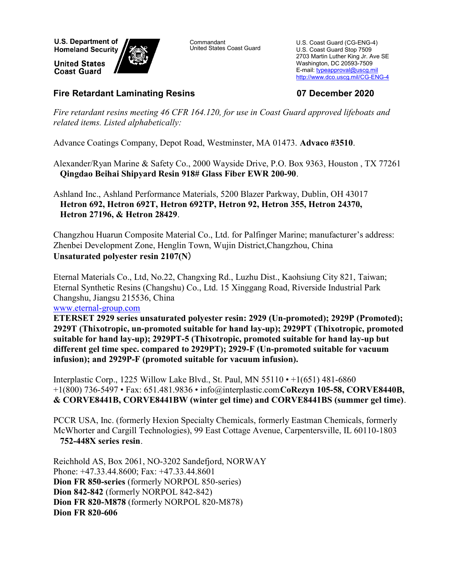**U.S. Department of Homeland Security** 

**United States Coast Guard** 



Commandant United States Coast Guard

U.S. Coast Guard (CG-ENG-4) U.S. Coast Guard Stop 7509 2703 Martin Luther King Jr. Ave SE Washington, DC 20593-7509 E-mail: typeapproval@uscg.mil http://www.dco.uscg.mil/CG-ENG-4

## Fire Retardant Laminating Resins 07 December 2020

Fire retardant resins meeting 46 CFR 164.120, for use in Coast Guard approved lifeboats and related items. Listed alphabetically:

Advance Coatings Company, Depot Road, Westminster, MA 01473. Advaco #3510.

Alexander/Ryan Marine & Safety Co., 2000 Wayside Drive, P.O. Box 9363, Houston , TX 77261 Qingdao Beihai Shipyard Resin 918# Glass Fiber EWR 200-90.

Ashland Inc., Ashland Performance Materials, 5200 Blazer Parkway, Dublin, OH 43017 Hetron 692, Hetron 692T, Hetron 692TP, Hetron 92, Hetron 355, Hetron 24370, Hetron 27196, & Hetron 28429.

Changzhou Huarun Composite Material Co., Ltd. for Palfinger Marine; manufacturer's address: Zhenbei Development Zone, Henglin Town, Wujin District,Changzhou, China Unsaturated polyester resin 2107(N)

Eternal Materials Co., Ltd, No.22, Changxing Rd., Luzhu Dist., Kaohsiung City 821, Taiwan; Eternal Synthetic Resins (Changshu) Co., Ltd. 15 Xinggang Road, Riverside Industrial Park Changshu, Jiangsu 215536, China

www.eternal-group.com

ETERSET 2929 series unsaturated polyester resin: 2929 (Un-promoted); 2929P (Promoted); 2929T (Thixotropic, un-promoted suitable for hand lay-up); 2929PT (Thixotropic, promoted suitable for hand lay-up); 2929PT-5 (Thixotropic, promoted suitable for hand lay-up but different gel time spec. compared to 2929PT); 2929-F (Un-promoted suitable for vacuum infusion); and 2929P-F (promoted suitable for vacuum infusion).

Interplastic Corp., 1225 Willow Lake Blvd., St. Paul, MN 55110 • +1(651) 481-6860 +1(800) 736-5497 • Fax: 651.481.9836 • info@interplastic.com CoRezyn 105-58, CORVE8440B, & CORVE8441B, CORVE8441BW (winter gel time) and CORVE8441BS (summer gel time).

PCCR USA, Inc. (formerly Hexion Specialty Chemicals, formerly Eastman Chemicals, formerly McWhorter and Cargill Technologies), 99 East Cottage Avenue, Carpentersville, IL 60110-1803 752-448X series resin.

Reichhold AS, Box 2061, NO-3202 Sandefjord, NORWAY Phone: +47.33.44.8600; Fax: +47.33.44.8601 Dion FR 850-series (formerly NORPOL 850-series) Dion 842-842 (formerly NORPOL 842-842) Dion FR 820-M878 (formerly NORPOL 820-M878) Dion FR 820-606